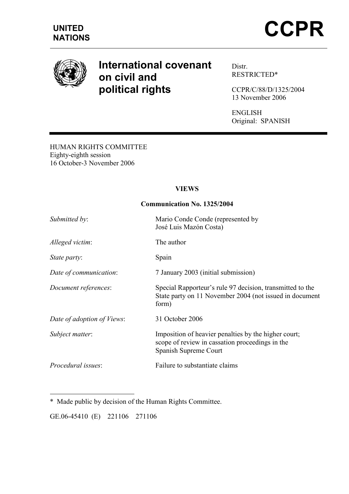

# International covenant on civil and political rights

Distr. RESTRICTED\*

CCPR/C/88/D/1325/2004 13 November 2006

ENGLISH Original: SPANISH

HUMAN RIGHTS COMMITTEE Eighty-eighth session 16 October-3 November 2006

## VIEWS

## Communication No. 1325/2004

| Submitted by:              | Mario Conde Conde (represented by<br>José Luis Mazón Costa)                                                                      |
|----------------------------|----------------------------------------------------------------------------------------------------------------------------------|
| Alleged victim:            | The author                                                                                                                       |
| State party:               | Spain                                                                                                                            |
| Date of communication:     | 7 January 2003 (initial submission)                                                                                              |
| Document references:       | Special Rapporteur's rule 97 decision, transmitted to the<br>State party on 11 November 2004 (not issued in document<br>form)    |
| Date of adoption of Views: | 31 October 2006                                                                                                                  |
| Subject matter:            | Imposition of heavier penalties by the higher court;<br>scope of review in cassation proceedings in the<br>Spanish Supreme Court |
| <i>Procedural issues:</i>  | Failure to substantiate claims                                                                                                   |

 $\overline{a}$ \* Made public by decision of the Human Rights Committee.

GE.06-45410 (E) 221106 271106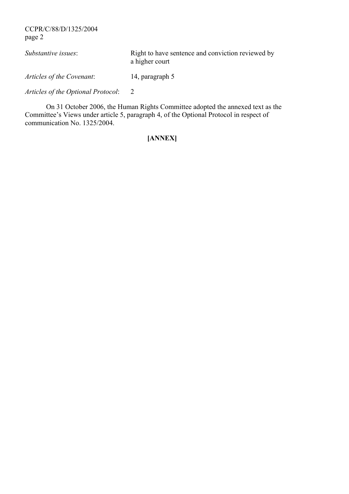CCPR/C/88/D/1325/2004 page 2

| Substantive issues:       | Right to have sentence and conviction reviewed by<br>a higher court |
|---------------------------|---------------------------------------------------------------------|
| Articles of the Covenant: | 14, paragraph 5                                                     |
|                           |                                                                     |

Articles of the Optional Protocol: 2

 On 31 October 2006, the Human Rights Committee adopted the annexed text as the Committee's Views under article 5, paragraph 4, of the Optional Protocol in respect of communication No. 1325/2004.

## [ANNEX]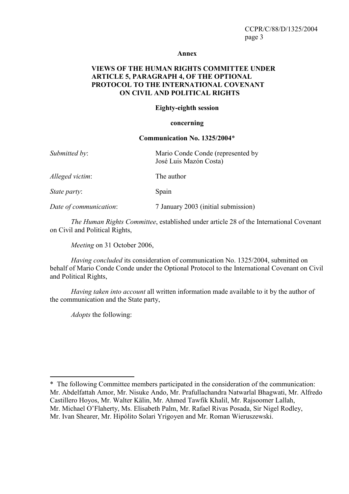#### Annex

#### VIEWS OF THE HUMAN RIGHTS COMMITTEE UNDER ARTICLE 5, PARAGRAPH 4, OF THE OPTIONAL PROTOCOL TO THE INTERNATIONAL COVENANT ON CIVIL AND POLITICAL RIGHTS

#### Eighty-eighth session

#### concerning

#### Communication No. 1325/2004\*

| Submitted by:          | Mario Conde Conde (represented by<br>José Luis Mazón Costa) |
|------------------------|-------------------------------------------------------------|
| Alleged victim:        | The author                                                  |
| <i>State party:</i>    | Spain                                                       |
| Date of communication: | 7 January 2003 (initial submission)                         |

The Human Rights Committee, established under article 28 of the International Covenant on Civil and Political Rights,

Meeting on 31 October 2006,

Having concluded its consideration of communication No. 1325/2004, submitted on behalf of Mario Conde Conde under the Optional Protocol to the International Covenant on Civil and Political Rights,

Having taken into account all written information made available to it by the author of the communication and the State party,

Adopts the following:

 $\overline{a}$ 

<sup>\*</sup> The following Committee members participated in the consideration of the communication: Mr. Abdelfattah Amor, Mr. Nisuke Ando, Mr. Prafullachandra Natwarlal Bhagwati, Mr. Alfredo Castillero Hoyos, Mr. Walter Kälin, Mr. Ahmed Tawfik Khalil, Mr. Rajsoomer Lallah, Mr. Michael O'Flaherty, Ms. Elisabeth Palm, Mr. Rafael Rivas Posada, Sir Nigel Rodley, Mr. Ivan Shearer, Mr. Hipólito Solari Yrigoyen and Mr. Roman Wieruszewski.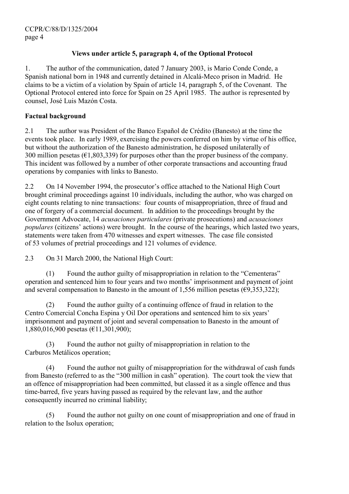## Views under article 5, paragraph 4, of the Optional Protocol

1. The author of the communication, dated 7 January 2003, is Mario Conde Conde, a Spanish national born in 1948 and currently detained in Alcalá-Meco prison in Madrid. He claims to be a victim of a violation by Spain of article 14, paragraph 5, of the Covenant. The Optional Protocol entered into force for Spain on 25 April 1985. The author is represented by counsel, José Luis Mazón Costa.

#### Factual background

2.1 The author was President of the Banco Español de Crédito (Banesto) at the time the events took place. In early 1989, exercising the powers conferred on him by virtue of his office, but without the authorization of the Banesto administration, he disposed unilaterally of 300 million pesetas ( $\epsilon$ 1,803,339) for purposes other than the proper business of the company. This incident was followed by a number of other corporate transactions and accounting fraud operations by companies with links to Banesto.

2.2 On 14 November 1994, the prosecutor's office attached to the National High Court brought criminal proceedings against 10 individuals, including the author, who was charged on eight counts relating to nine transactions: four counts of misappropriation, three of fraud and one of forgery of a commercial document. In addition to the proceedings brought by the Government Advocate, 14 acusaciones particulares (private prosecutions) and acusaciones populares (citizens' actions) were brought. In the course of the hearings, which lasted two years, statements were taken from 470 witnesses and expert witnesses. The case file consisted of 53 volumes of pretrial proceedings and 121 volumes of evidence.

2.3 On 31 March 2000, the National High Court:

 (1) Found the author guilty of misappropriation in relation to the "Cementeras" operation and sentenced him to four years and two months' imprisonment and payment of joint and several compensation to Banesto in the amount of 1,556 million pesetas ( $\epsilon$ 9,353,322);

 (2) Found the author guilty of a continuing offence of fraud in relation to the Centro Comercial Concha Espina y Oil Dor operations and sentenced him to six years' imprisonment and payment of joint and several compensation to Banesto in the amount of 1,880,016,900 pesetas (€11,301,900);

 (3) Found the author not guilty of misappropriation in relation to the Carburos Metálicos operation;

 (4) Found the author not guilty of misappropriation for the withdrawal of cash funds from Banesto (referred to as the "300 million in cash" operation). The court took the view that an offence of misappropriation had been committed, but classed it as a single offence and thus time-barred, five years having passed as required by the relevant law, and the author consequently incurred no criminal liability;

 (5) Found the author not guilty on one count of misappropriation and one of fraud in relation to the Isolux operation;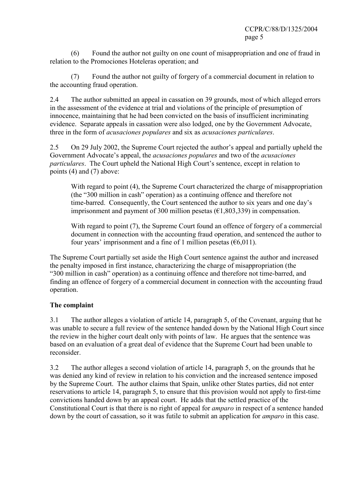(6) Found the author not guilty on one count of misappropriation and one of fraud in relation to the Promociones Hoteleras operation; and

Found the author not guilty of forgery of a commercial document in relation to the accounting fraud operation.

2.4 The author submitted an appeal in cassation on 39 grounds, most of which alleged errors in the assessment of the evidence at trial and violations of the principle of presumption of innocence, maintaining that he had been convicted on the basis of insufficient incriminating evidence. Separate appeals in cassation were also lodged, one by the Government Advocate, three in the form of acusaciones populares and six as acusaciones particulares.

2.5 On 29 July 2002, the Supreme Court rejected the author's appeal and partially upheld the Government Advocate's appeal, the acusaciones populares and two of the acusaciones particulares. The Court upheld the National High Court's sentence, except in relation to points (4) and (7) above:

With regard to point (4), the Supreme Court characterized the charge of misappropriation (the "300 million in cash" operation) as a continuing offence and therefore not time-barred. Consequently, the Court sentenced the author to six years and one day's imprisonment and payment of 300 million pesetas  $(\text{\textsterling}1,803,339)$  in compensation.

With regard to point (7), the Supreme Court found an offence of forgery of a commercial document in connection with the accounting fraud operation, and sentenced the author to four years' imprisonment and a fine of 1 million pesetas  $(66,011)$ .

The Supreme Court partially set aside the High Court sentence against the author and increased the penalty imposed in first instance, characterizing the charge of misappropriation (the "300 million in cash" operation) as a continuing offence and therefore not time-barred, and finding an offence of forgery of a commercial document in connection with the accounting fraud operation.

#### The complaint

3.1 The author alleges a violation of article 14, paragraph 5, of the Covenant, arguing that he was unable to secure a full review of the sentence handed down by the National High Court since the review in the higher court dealt only with points of law. He argues that the sentence was based on an evaluation of a great deal of evidence that the Supreme Court had been unable to reconsider.

3.2 The author alleges a second violation of article 14, paragraph 5, on the grounds that he was denied any kind of review in relation to his conviction and the increased sentence imposed by the Supreme Court. The author claims that Spain, unlike other States parties, did not enter reservations to article 14, paragraph 5, to ensure that this provision would not apply to first-time convictions handed down by an appeal court. He adds that the settled practice of the Constitutional Court is that there is no right of appeal for amparo in respect of a sentence handed down by the court of cassation, so it was futile to submit an application for *amparo* in this case.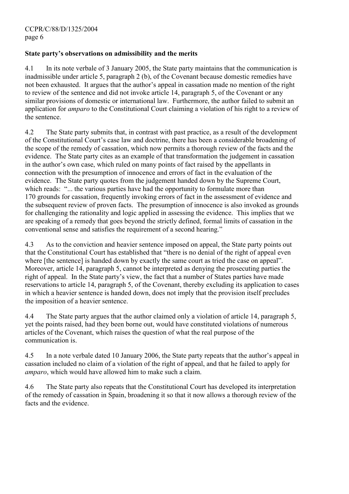#### State party's observations on admissibility and the merits

4.1 In its note verbale of 3 January 2005, the State party maintains that the communication is inadmissible under article 5, paragraph 2 (b), of the Covenant because domestic remedies have not been exhausted. It argues that the author's appeal in cassation made no mention of the right to review of the sentence and did not invoke article 14, paragraph 5, of the Covenant or any similar provisions of domestic or international law. Furthermore, the author failed to submit an application for amparo to the Constitutional Court claiming a violation of his right to a review of the sentence.

4.2 The State party submits that, in contrast with past practice, as a result of the development of the Constitutional Court's case law and doctrine, there has been a considerable broadening of the scope of the remedy of cassation, which now permits a thorough review of the facts and the evidence. The State party cites as an example of that transformation the judgement in cassation in the author's own case, which ruled on many points of fact raised by the appellants in connection with the presumption of innocence and errors of fact in the evaluation of the evidence. The State party quotes from the judgement handed down by the Supreme Court, which reads: "... the various parties have had the opportunity to formulate more than 170 grounds for cassation, frequently invoking errors of fact in the assessment of evidence and the subsequent review of proven facts. The presumption of innocence is also invoked as grounds for challenging the rationality and logic applied in assessing the evidence. This implies that we are speaking of a remedy that goes beyond the strictly defined, formal limits of cassation in the conventional sense and satisfies the requirement of a second hearing."

4.3 As to the conviction and heavier sentence imposed on appeal, the State party points out that the Constitutional Court has established that "there is no denial of the right of appeal even where [the sentence] is handed down by exactly the same court as tried the case on appeal". Moreover, article 14, paragraph 5, cannot be interpreted as denying the prosecuting parties the right of appeal. In the State party's view, the fact that a number of States parties have made reservations to article 14, paragraph 5, of the Covenant, thereby excluding its application to cases in which a heavier sentence is handed down, does not imply that the provision itself precludes the imposition of a heavier sentence.

4.4 The State party argues that the author claimed only a violation of article 14, paragraph 5, yet the points raised, had they been borne out, would have constituted violations of numerous articles of the Covenant, which raises the question of what the real purpose of the communication is.

4.5 In a note verbale dated 10 January 2006, the State party repeats that the author's appeal in cassation included no claim of a violation of the right of appeal, and that he failed to apply for amparo, which would have allowed him to make such a claim.

4.6 The State party also repeats that the Constitutional Court has developed its interpretation of the remedy of cassation in Spain, broadening it so that it now allows a thorough review of the facts and the evidence.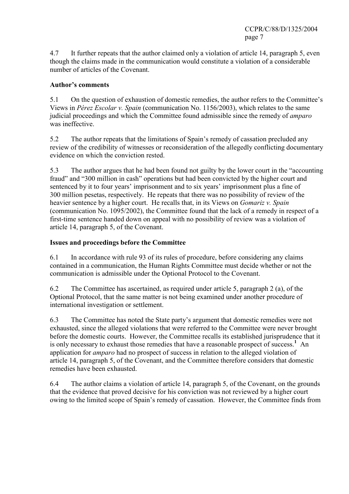4.7 It further repeats that the author claimed only a violation of article 14, paragraph 5, even though the claims made in the communication would constitute a violation of a considerable number of articles of the Covenant.

## Author's comments

5.1 On the question of exhaustion of domestic remedies, the author refers to the Committee's Views in Pérez Escolar v. Spain (communication No. 1156/2003), which relates to the same judicial proceedings and which the Committee found admissible since the remedy of *amparo* was ineffective.

5.2 The author repeats that the limitations of Spain's remedy of cassation precluded any review of the credibility of witnesses or reconsideration of the allegedly conflicting documentary evidence on which the conviction rested.

5.3 The author argues that he had been found not guilty by the lower court in the "accounting fraud" and "300 million in cash" operations but had been convicted by the higher court and sentenced by it to four years' imprisonment and to six years' imprisonment plus a fine of 300 million pesetas, respectively. He repeats that there was no possibility of review of the heavier sentence by a higher court. He recalls that, in its Views on *Gomariz v. Spain* (communication No. 1095/2002), the Committee found that the lack of a remedy in respect of a first-time sentence handed down on appeal with no possibility of review was a violation of article 14, paragraph 5, of the Covenant.

## Issues and proceedings before the Committee

6.1 In accordance with rule 93 of its rules of procedure, before considering any claims contained in a communication, the Human Rights Committee must decide whether or not the communication is admissible under the Optional Protocol to the Covenant.

6.2 The Committee has ascertained, as required under article 5, paragraph 2 (a), of the Optional Protocol, that the same matter is not being examined under another procedure of international investigation or settlement.

6.3 The Committee has noted the State party's argument that domestic remedies were not exhausted, since the alleged violations that were referred to the Committee were never brought before the domestic courts. However, the Committee recalls its established jurisprudence that it is only necessary to exhaust those remedies that have a reasonable prospect of success.<sup>[1](#page-8-0)</sup> An application for *amparo* had no prospect of success in relation to the alleged violation of article 14, paragraph 5, of the Covenant, and the Committee therefore considers that domestic remedies have been exhausted.

6.4 The author claims a violation of article 14, paragraph 5, of the Covenant, on the grounds that the evidence that proved decisive for his conviction was not reviewed by a higher court owing to the limited scope of Spain's remedy of cassation. However, the Committee finds from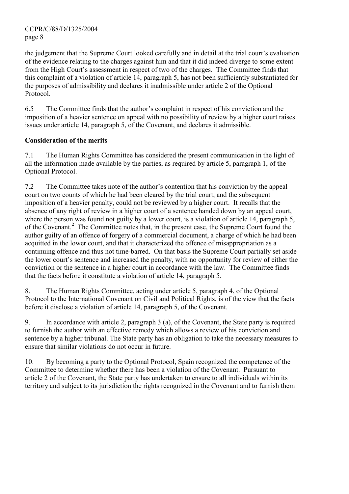CCPR/C/88/D/1325/2004 page 8

the judgement that the Supreme Court looked carefully and in detail at the trial court's evaluation of the evidence relating to the charges against him and that it did indeed diverge to some extent from the High Court's assessment in respect of two of the charges. The Committee finds that this complaint of a violation of article 14, paragraph 5, has not been sufficiently substantiated for the purposes of admissibility and declares it inadmissible under article 2 of the Optional Protocol.

6.5 The Committee finds that the author's complaint in respect of his conviction and the imposition of a heavier sentence on appeal with no possibility of review by a higher court raises issues under article 14, paragraph 5, of the Covenant, and declares it admissible.

## Consideration of the merits

7.1 The Human Rights Committee has considered the present communication in the light of all the information made available by the parties, as required by article 5, paragraph 1, of the Optional Protocol.

7.2 The Committee takes note of the author's contention that his conviction by the appeal court on two counts of which he had been cleared by the trial court, and the subsequent imposition of a heavier penalty, could not be reviewed by a higher court. It recalls that the absence of any right of review in a higher court of a sentence handed down by an appeal court, where the person was found not guilty by a lower court, is a violation of article 14, paragraph 5, of the Covenant.<sup>[2](#page-8-0)</sup> The Committee notes that, in the present case, the Supreme Court found the author guilty of an offence of forgery of a commercial document, a charge of which he had been acquitted in the lower court, and that it characterized the offence of misappropriation as a continuing offence and thus not time-barred. On that basis the Supreme Court partially set aside the lower court's sentence and increased the penalty, with no opportunity for review of either the conviction or the sentence in a higher court in accordance with the law. The Committee finds that the facts before it constitute a violation of article 14, paragraph 5.

8. The Human Rights Committee, acting under article 5, paragraph 4, of the Optional Protocol to the International Covenant on Civil and Political Rights, is of the view that the facts before it disclose a violation of article 14, paragraph 5, of the Covenant.

9. In accordance with article 2, paragraph 3 (a), of the Covenant, the State party is required to furnish the author with an effective remedy which allows a review of his conviction and sentence by a higher tribunal. The State party has an obligation to take the necessary measures to ensure that similar violations do not occur in future.

10. By becoming a party to the Optional Protocol, Spain recognized the competence of the Committee to determine whether there has been a violation of the Covenant. Pursuant to article 2 of the Covenant, the State party has undertaken to ensure to all individuals within its territory and subject to its jurisdiction the rights recognized in the Covenant and to furnish them